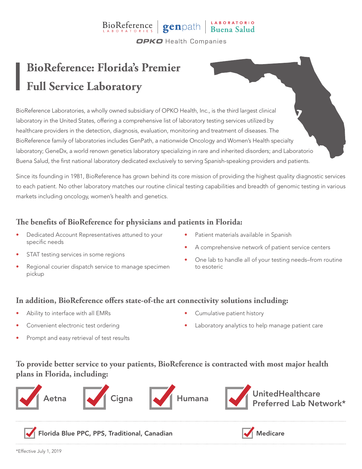# $\text{BioReference}$   $\text{genpath}$   $\text{Buena Salud}$

**OPKO** Health Companies

## **BioReference: Florida's Premier Full Service Laboratory**

BioReference Laboratories, a wholly owned subsidiary of OPKO Health, Inc., is the third largest clinical laboratory in the United States, offering a comprehensive list of laboratory testing services utilized by healthcare providers in the detection, diagnosis, evaluation, monitoring and treatment of diseases. The BioReference family of laboratories includes GenPath, a nationwide Oncology and Women's Health specialty laboratory; GeneDx, a world renown genetics laboratory specializing in rare and inherited disorders; and Laboratorio Buena Salud, the first national laboratory dedicated exclusively to serving Spanish-speaking providers and patients.

Since its founding in 1981, BioReference has grown behind its core mission of providing the highest quality diagnostic services to each patient. No other laboratory matches our routine clinical testing capabilities and breadth of genomic testing in various markets including oncology, women's health and genetics.

### **The benefits of BioReference for physicians and patients in Florida:**

- Dedicated Account Representatives attuned to your specific needs
- Patient materials available in Spanish
	- A comprehensive network of patient service centers
- STAT testing services in some regions
- Regional courier dispatch service to manage specimen pickup
- One lab to handle all of your testing needs–from routine to esoteric

#### **In addition, BioReference offers state-of-the art connectivity solutions including:**

- Ability to interface with all EMRs
- Convenient electronic test ordering
- Prompt and easy retrieval of test results
- Cumulative patient history
- Laboratory analytics to help manage patient care

### **To provide better service to your patients, BioReference is contracted with most major health plans in Florida, including:**